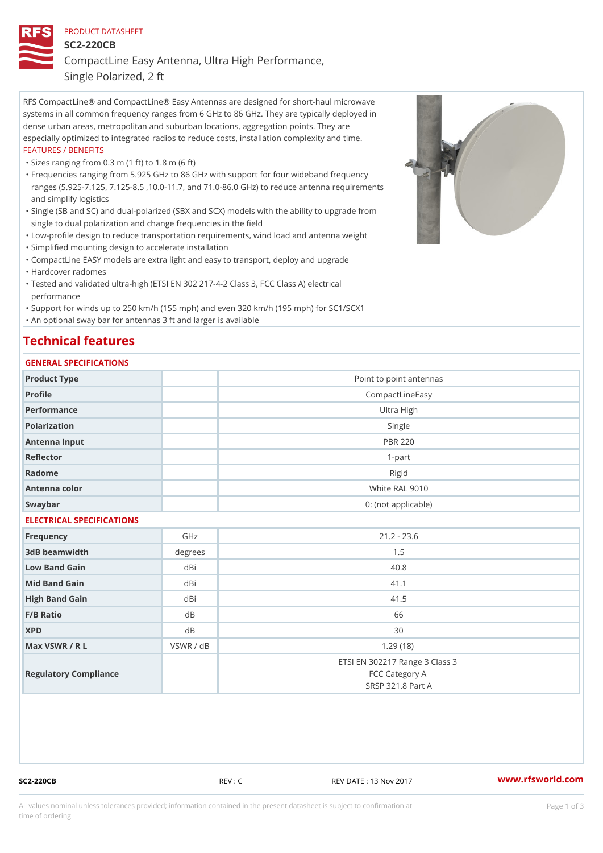### PRODUCT DATASHEET

SC2-220CB

CompactLine Easy Antenna, Ultra High Performance,

Single Polarized, 2 ft

RFS CompactLine® and CompactLine® Easy Antennas are designed for short-haul microwave systems in all common frequency ranges from 6 GHz to 86 GHz. They are typically deployed in dense urban areas, metropolitan and suburban locations, aggregation points. They are especially optimized to integrated radios to reduce costs, installation complexity and time. FEATURES / BENEFITS

"Sizes ranging from 0.3 m (1 ft) to 1.8 m (6 ft)

- Frequencies ranging from 5.925 GHz to 86 GHz with support for four wideband frequency " ranges (5.925-7.125, 7.125-8.5 ,10.0-11.7, and 71.0-86.0 GHz) to reduce antenna requirements and simplify logistics
- Single (SB and SC) and dual-polarized (SBX and SCX) models with the ability to upgrade from " single to dual polarization and change frequencies in the field

"Low-profile design to reduce transportation requirements, wind load and antenna weight

"Simplified mounting design to accelerate installation

 "CompactLine EASY models are extra light and easy to transport, deploy and upgrade "Hardcover radomes

Tested and validated ultra-high (ETSI EN 302 217-4-2 Class 3, FCC Class A) electrical " performance

 "Support for winds up to 250 km/h (155 mph) and even 320 km/h (195 mph) for SC1/SCX1 "An optional sway bar for antennas 3 ft and larger is available

# Technical features

## GENERAL SPECIFICATIONS

| OLIVERAL OF LOTITOATIONS  |                     |                                                                       |  |  |  |
|---------------------------|---------------------|-----------------------------------------------------------------------|--|--|--|
| Product Type              |                     | Point to point antennas                                               |  |  |  |
| Profile                   |                     | CompactLineEasy                                                       |  |  |  |
| Performance               |                     | Ultra High                                                            |  |  |  |
| Polarization              |                     | Single                                                                |  |  |  |
| Antenna Input             |                     | <b>PBR 220</b>                                                        |  |  |  |
| Reflector                 |                     | $1 - p$ art                                                           |  |  |  |
| Radome                    |                     | Rigid                                                                 |  |  |  |
| Antenna color             | White RAL 9010      |                                                                       |  |  |  |
| Swaybar                   | 0: (not applicable) |                                                                       |  |  |  |
| ELECTRICAL SPECIFICATIONS |                     |                                                                       |  |  |  |
| Frequency                 | GHz                 | $21.2 - 23.6$                                                         |  |  |  |
| 3dB beamwidth             | degree              | 1.5                                                                   |  |  |  |
| Low Band Gain             | dBi                 | 40.8                                                                  |  |  |  |
| Mid Band Gain             | dBi                 | 41.1                                                                  |  |  |  |
| High Band Gain            | dBi                 | 41.5                                                                  |  |  |  |
| F/B Ratio                 | d B                 | 66                                                                    |  |  |  |
| <b>XPD</b>                | d B                 | 30                                                                    |  |  |  |
| Max VSWR / R L            | VSWR / dB           | 1.29(18)                                                              |  |  |  |
| Regulatory Compliance     |                     | ETSI EN 302217 Range 3 Class 3<br>FCC Category A<br>SRSP 321.8 Part A |  |  |  |

SC2-220CB REV : C REV DATE : 13 Nov 2017 [www.](https://www.rfsworld.com)rfsworld.com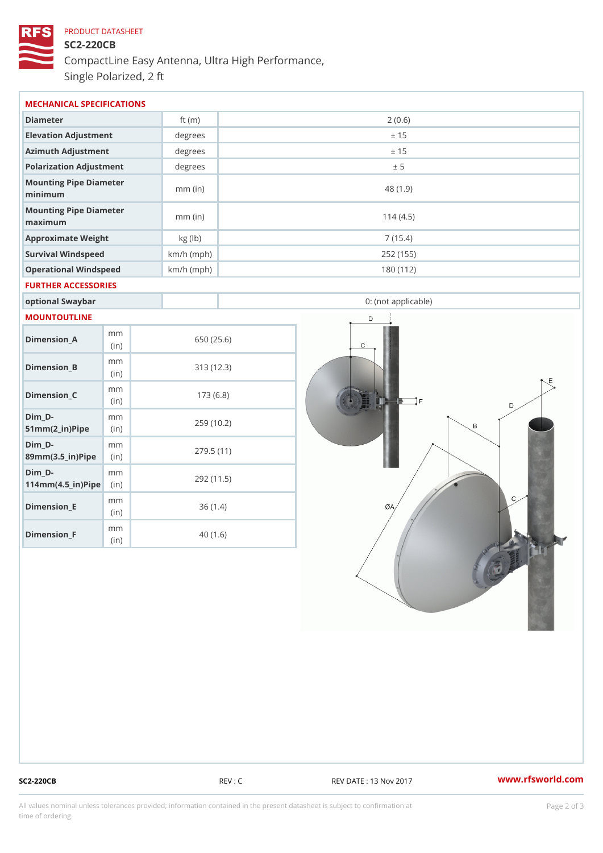# PRODUCT DATASHEET SC2-220CB CompactLine Easy Antenna, Ultra High Performance, Single Polarized, 2 ft

| MECHANICAL SPECIFICATIONS         |              |           |  |  |
|-----------------------------------|--------------|-----------|--|--|
| Diameter                          | ft $(m)$     | 2(0.6)    |  |  |
| Elevation Adjustment              | degree       | ± 15      |  |  |
| Azimuth Adjustment                | degree       | ± 15      |  |  |
| Polarization Adjustment           | degree       | ± 5       |  |  |
| Mounting Pipe Diameter<br>minimum | $mm$ (in)    | 48 (1.9)  |  |  |
| Mounting Pipe Diameter<br>maximum | $mm$ (in)    | 114(4.5)  |  |  |
| Approximate Weight                | kg (lb)      | 7(15.4)   |  |  |
| Survival Windspeed                | $km/h$ (mph) | 252 (155) |  |  |
| Operational Windspeed             | $km/h$ (mph) | 180 (112) |  |  |
| FURTHER ACCESSORIES               |              |           |  |  |

| MOUNTOUTLINE |  |  |  |
|--------------|--|--|--|
|              |  |  |  |

|  | Dimension A                                                  | m m<br>(in)  | 650 (25.6) |
|--|--------------------------------------------------------------|--------------|------------|
|  | Dimension B                                                  | m m<br>(in)  | 313(12.3)  |
|  | Dimension_C                                                  | m m<br>(i n) | 173(6.8)   |
|  | Dim D-<br>$51mm(2_in) Pipéin$                                | m m          | 259 (10.2) |
|  | Dim D-<br>$89$ m m $(3.5 \text{ in})$ P i(pine)              | m m          | 279.5(11)  |
|  | Dim D-<br>$114$ m m (4.5 _ i r) $\mathbb{R}$ in $\mathbb{R}$ | m m          | 292 (11.5) |
|  | Dimension_E                                                  | m m<br>(in)  | 36(1.4)    |
|  | Dimension_F                                                  | m m<br>(in)  | 40 (1.6)   |

optional Swaybar **1988** and 1999 and 1999 and 1999 and 1999 and 1999 and 1999 and 1999 and 1999 and 1999 and 19

SC2-220CB REV : C REV DATE : 13 Nov 2017 WWW.rfsworld.com

All values nominal unless tolerances provided; information contained in the present datasheet is subject to Pcapgelio an atio time of ordering